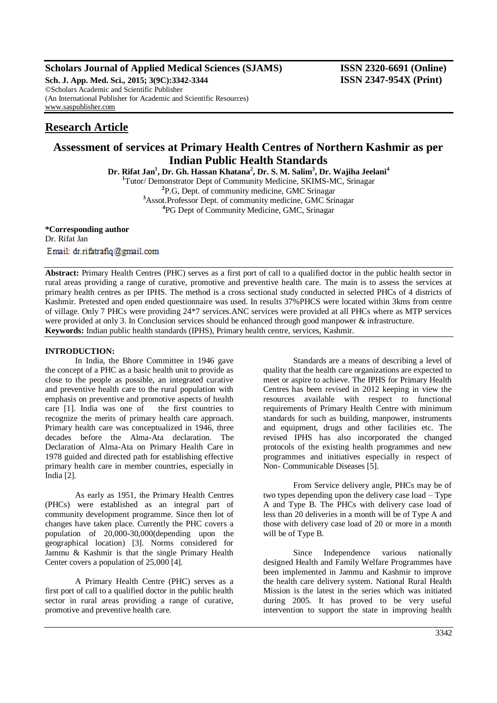## **Scholars Journal of Applied Medical Sciences (SJAMS) ISSN 2320-6691 (Online)**

**Sch. J. App. Med. Sci., 2015; 3(9C):3342-3344 ISSN 2347-954X (Print)** ©Scholars Academic and Scientific Publisher (An International Publisher for Academic and Scientific Resources) [www.saspublisher.com](http://www.saspublisher.com/)

# **Research Article**

# **Assessment of services at Primary Health Centres of Northern Kashmir as per Indian Public Health Standards**

**Dr. Rifat Jan<sup>1</sup> , Dr. Gh. Hassan Khatana<sup>2</sup> , Dr. S. M. Salim<sup>3</sup> , Dr. Wajiha Jeelani<sup>4</sup> <sup>1</sup>**Tutor/ Demonstrator Dept of Community Medicine, SKIMS-MC, Srinagar **2** P.G, Dept. of community medicine, GMC Srinagar

**<sup>3</sup>**Assot.Professor Dept. of community medicine, GMC Srinagar **4** PG Dept of Community Medicine, GMC, Srinagar

**\*Corresponding author** Dr. Rifat Jan Email: dr.rifatrafiq@gmail.com

**Abstract:** Primary Health Centres (PHC) serves as a first port of call to a qualified doctor in the public health sector in rural areas providing a range of curative, promotive and preventive health care. The main is to assess the services at primary health centres as per IPHS. The method is a cross sectional study conducted in selected PHCs of 4 districts of Kashmir. Pretested and open ended questionnaire was used. In results 37%PHCS were located within 3kms from centre of village. Only 7 PHCs were providing 24\*7 services.ANC services were provided at all PHCs where as MTP services were provided at only 3. In Conclusion services should be enhanced through good manpower & infrastructure. **Keywords:** Indian public health standards (IPHS), Primary health centre, services, Kashmir.

## **INTRODUCTION:**

In India, the Bhore Committee in 1946 gave the concept of a PHC as a basic health unit to provide as close to the people as possible, an integrated curative and preventive health care to the rural population with emphasis on preventive and promotive aspects of health care [1]. India was one of the first countries to recognize the merits of primary health care approach. Primary health care was conceptualized in 1946, three decades before the Alma-Ata declaration. The Declaration of Alma-Ata on Primary Health Care in 1978 guided and directed path for establishing effective primary health care in member countries, especially in India [2].

As early as 1951, the Primary Health Centres (PHCs) were established as an integral part of community development programme. Since then lot of changes have taken place. Currently the PHC covers a population of 20,000-30,000(depending upon the geographical location) [3]. Norms considered for Jammu & Kashmir is that the single Primary Health Center covers a population of 25,000 [4].

A Primary Health Centre (PHC) serves as a first port of call to a qualified doctor in the public health sector in rural areas providing a range of curative, promotive and preventive health care.

Standards are a means of describing a level of quality that the health care organizations are expected to meet or aspire to achieve. The IPHS for Primary Health Centres has been revised in 2012 keeping in view the resources available with respect to functional requirements of Primary Health Centre with minimum standards for such as building, manpower, instruments and equipment, drugs and other facilities etc. The revised IPHS has also incorporated the changed protocols of the existing health programmes and new programmes and initiatives especially in respect of Non- Communicable Diseases [5].

From Service delivery angle, PHCs may be of two types depending upon the delivery case load – Type A and Type B. The PHCs with delivery case load of less than 20 deliveries in a month will be of Type A and those with delivery case load of 20 or more in a month will be of Type B.

Since Independence various nationally designed Health and Family Welfare Programmes have been implemented in Jammu and Kashmir to improve the health care delivery system. National Rural Health Mission is the latest in the series which was initiated during 2005. It has proved to be very useful intervention to support the state in improving health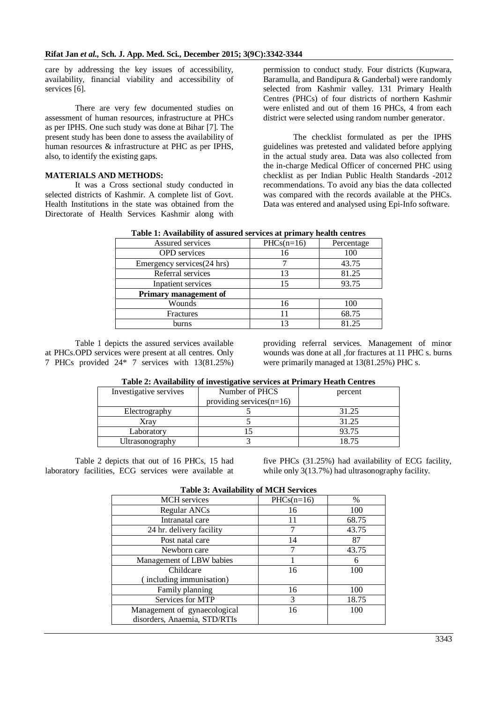care by addressing the key issues of accessibility, availability, financial viability and accessibility of services [6].

There are very few documented studies on assessment of human resources, infrastructure at PHCs as per IPHS. One such study was done at Bihar [7]. The present study has been done to assess the availability of human resources & infrastructure at PHC as per IPHS, also, to identify the existing gaps.

## **MATERIALS AND METHODS:**

It was a Cross sectional study conducted in selected districts of Kashmir. A complete list of Govt. Health Institutions in the state was obtained from the Directorate of Health Services Kashmir along with

permission to conduct study. Four districts (Kupwara, Baramulla, and Bandipura & Ganderbal) were randomly selected from Kashmir valley. 131 Primary Health Centres (PHCs) of four districts of northern Kashmir were enlisted and out of them 16 PHCs, 4 from each district were selected using random number generator.

The checklist formulated as per the IPHS guidelines was pretested and validated before applying in the actual study area. Data was also collected from the in-charge Medical Officer of concerned PHC using checklist as per Indian Public Health Standards -2012 recommendations. To avoid any bias the data collected was compared with the records available at the PHCs. Data was entered and analysed using Epi-Info software.

| Tubic 1: A vanability of assured set vices at primary nearen centres |              |            |  |  |
|----------------------------------------------------------------------|--------------|------------|--|--|
| Assured services                                                     | $PHCs(n=16)$ | Percentage |  |  |
| <b>OPD</b> services                                                  | 16           | 100        |  |  |
| Emergency services (24 hrs)                                          |              | 43.75      |  |  |
| Referral services                                                    | 13           | 81.25      |  |  |
| Inpatient services                                                   | 15           | 93.75      |  |  |
| <b>Primary management of</b>                                         |              |            |  |  |
| Wounds                                                               | 16           | 100        |  |  |
| <b>Fractures</b>                                                     |              | 68.75      |  |  |
| burns                                                                |              | 81.25      |  |  |

| Table 1: Availability of assured services at primary health centres |
|---------------------------------------------------------------------|
|---------------------------------------------------------------------|

Table 1 depicts the assured services available at PHCs.OPD services were present at all centres. Only 7 PHCs provided 24\* 7 services with 13(81.25%) providing referral services. Management of minor wounds was done at all ,for fractures at 11 PHC s. burns were primarily managed at 13(81.25%) PHC s.

|  | Table 2: Availability of investigative services at Primary Heath Centres |  |
|--|--------------------------------------------------------------------------|--|
|--|--------------------------------------------------------------------------|--|

| Investigative servives | Number of PHCS              | percent |
|------------------------|-----------------------------|---------|
|                        | providing services $(n=16)$ |         |
| Electrography          |                             | 31.25   |
| Xray                   |                             | 31.25   |
| Laboratory             |                             | 93.75   |
| Ultrasonography        |                             |         |

Table 2 depicts that out of 16 PHCs, 15 had laboratory facilities, ECG services were available at five PHCs (31.25%) had availability of ECG facility, while only 3(13.7%) had ultrasonography facility.

| <b>MCH</b> services<br>$PHCs(n=16)$<br>%<br>Regular ANCs<br>100<br>16<br>Intranatal care<br>68.75<br>11<br>43.75<br>24 hr. delivery facility<br>Post natal care<br>87<br>14<br>43.75<br>Newborn care<br>Management of LBW babies<br>6<br>Childcare<br>16<br>100<br>(including immunisation)<br>Family planning<br>16<br>100<br>Services for MTP<br>3<br>18.75<br>Management of gynaecological<br>16<br>100<br>disorders, Anaemia, STD/RTIs | <b>Lable 5. Availability of NICH Sel Vices</b> |  |  |  |  |
|--------------------------------------------------------------------------------------------------------------------------------------------------------------------------------------------------------------------------------------------------------------------------------------------------------------------------------------------------------------------------------------------------------------------------------------------|------------------------------------------------|--|--|--|--|
|                                                                                                                                                                                                                                                                                                                                                                                                                                            |                                                |  |  |  |  |
|                                                                                                                                                                                                                                                                                                                                                                                                                                            |                                                |  |  |  |  |
|                                                                                                                                                                                                                                                                                                                                                                                                                                            |                                                |  |  |  |  |
|                                                                                                                                                                                                                                                                                                                                                                                                                                            |                                                |  |  |  |  |
|                                                                                                                                                                                                                                                                                                                                                                                                                                            |                                                |  |  |  |  |
|                                                                                                                                                                                                                                                                                                                                                                                                                                            |                                                |  |  |  |  |
|                                                                                                                                                                                                                                                                                                                                                                                                                                            |                                                |  |  |  |  |
|                                                                                                                                                                                                                                                                                                                                                                                                                                            |                                                |  |  |  |  |
|                                                                                                                                                                                                                                                                                                                                                                                                                                            |                                                |  |  |  |  |
|                                                                                                                                                                                                                                                                                                                                                                                                                                            |                                                |  |  |  |  |
|                                                                                                                                                                                                                                                                                                                                                                                                                                            |                                                |  |  |  |  |
|                                                                                                                                                                                                                                                                                                                                                                                                                                            |                                                |  |  |  |  |
|                                                                                                                                                                                                                                                                                                                                                                                                                                            |                                                |  |  |  |  |

**Table 3: Availability of MCH Services**